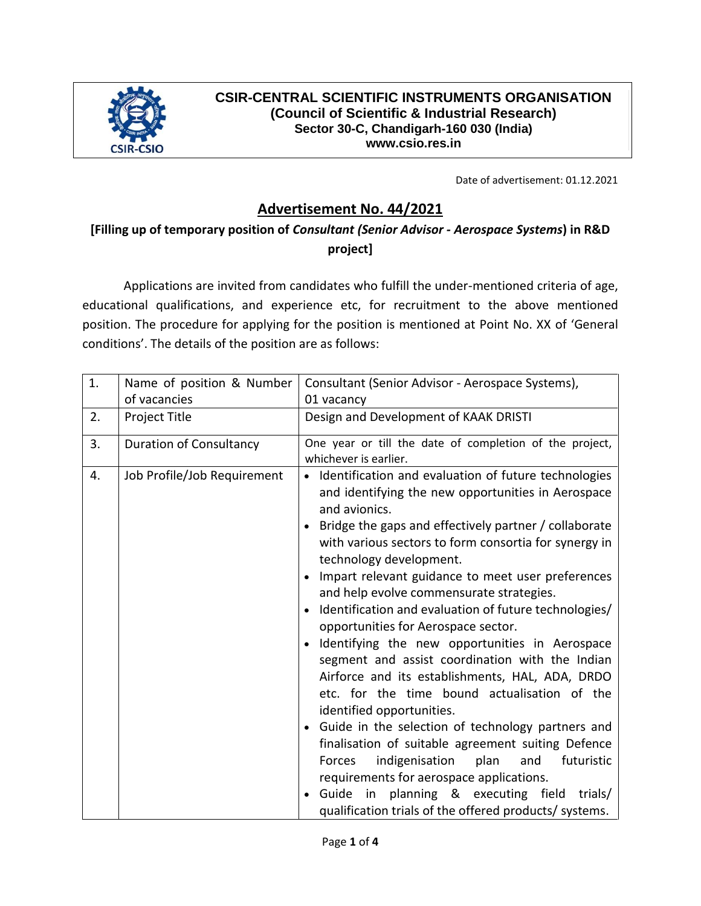

### **CSIR-CENTRAL SCIENTIFIC INSTRUMENTS ORGANISATION (Council of Scientific & Industrial Research) Sector 30-C, Chandigarh-160 030 (India) www.csio.res.in**

Date of advertisement: 01.12.2021

# **Advertisement No. 44/2021**

# **[Filling up of temporary position of** *Consultant (Senior Advisor - Aerospace Systems***) in R&D project]**

Applications are invited from candidates who fulfill the under-mentioned criteria of age, educational qualifications, and experience etc, for recruitment to the above mentioned position. The procedure for applying for the position is mentioned at Point No. XX of 'General conditions'. The details of the position are as follows:

| 1. | Name of position & Number<br>of vacancies | Consultant (Senior Advisor - Aerospace Systems),<br>01 vacancy                                                                                                                                                                                                                                                                                                                                                                                                                                                                                                                                                                                                                                                                                                                                                                                                                                                                                                                                                                                                                                |
|----|-------------------------------------------|-----------------------------------------------------------------------------------------------------------------------------------------------------------------------------------------------------------------------------------------------------------------------------------------------------------------------------------------------------------------------------------------------------------------------------------------------------------------------------------------------------------------------------------------------------------------------------------------------------------------------------------------------------------------------------------------------------------------------------------------------------------------------------------------------------------------------------------------------------------------------------------------------------------------------------------------------------------------------------------------------------------------------------------------------------------------------------------------------|
| 2. | Project Title                             | Design and Development of KAAK DRISTI                                                                                                                                                                                                                                                                                                                                                                                                                                                                                                                                                                                                                                                                                                                                                                                                                                                                                                                                                                                                                                                         |
| 3. | <b>Duration of Consultancy</b>            | One year or till the date of completion of the project,<br>whichever is earlier.                                                                                                                                                                                                                                                                                                                                                                                                                                                                                                                                                                                                                                                                                                                                                                                                                                                                                                                                                                                                              |
| 4. | Job Profile/Job Requirement               | • Identification and evaluation of future technologies<br>and identifying the new opportunities in Aerospace<br>and avionics.<br>Bridge the gaps and effectively partner / collaborate<br>with various sectors to form consortia for synergy in<br>technology development.<br>Impart relevant guidance to meet user preferences<br>$\bullet$<br>and help evolve commensurate strategies.<br>Identification and evaluation of future technologies/<br>$\bullet$<br>opportunities for Aerospace sector.<br>Identifying the new opportunities in Aerospace<br>$\bullet$<br>segment and assist coordination with the Indian<br>Airforce and its establishments, HAL, ADA, DRDO<br>etc. for the time bound actualisation of the<br>identified opportunities.<br>Guide in the selection of technology partners and<br>$\bullet$<br>finalisation of suitable agreement suiting Defence<br>indigenisation<br>plan<br>and<br>futuristic<br>Forces<br>requirements for aerospace applications.<br>Guide in planning & executing field trials/<br>qualification trials of the offered products/ systems. |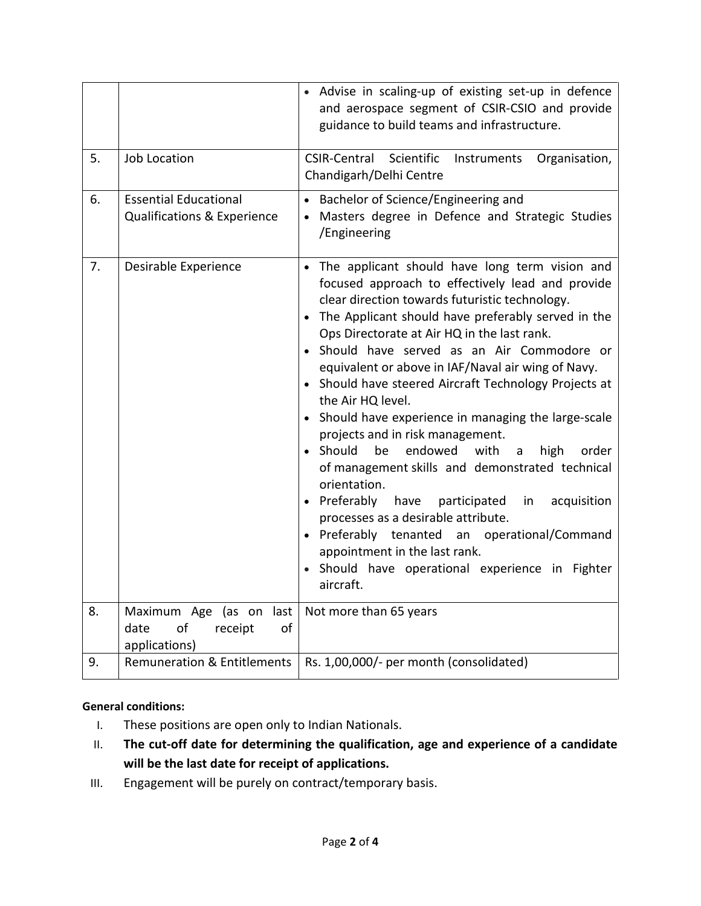|    |                                                                            | Advise in scaling-up of existing set-up in defence<br>and aerospace segment of CSIR-CSIO and provide<br>guidance to build teams and infrastructure.                                                                                                                                                                                                                                                                                                                                                                                                                                                                                                                                                                                                                                                                                                                                                                         |
|----|----------------------------------------------------------------------------|-----------------------------------------------------------------------------------------------------------------------------------------------------------------------------------------------------------------------------------------------------------------------------------------------------------------------------------------------------------------------------------------------------------------------------------------------------------------------------------------------------------------------------------------------------------------------------------------------------------------------------------------------------------------------------------------------------------------------------------------------------------------------------------------------------------------------------------------------------------------------------------------------------------------------------|
| 5. | <b>Job Location</b>                                                        | CSIR-Central Scientific<br>Organisation,<br>Instruments<br>Chandigarh/Delhi Centre                                                                                                                                                                                                                                                                                                                                                                                                                                                                                                                                                                                                                                                                                                                                                                                                                                          |
| 6. | <b>Essential Educational</b><br>Qualifications & Experience                | Bachelor of Science/Engineering and<br>Masters degree in Defence and Strategic Studies<br>/Engineering                                                                                                                                                                                                                                                                                                                                                                                                                                                                                                                                                                                                                                                                                                                                                                                                                      |
| 7. | Desirable Experience                                                       | • The applicant should have long term vision and<br>focused approach to effectively lead and provide<br>clear direction towards futuristic technology.<br>The Applicant should have preferably served in the<br>Ops Directorate at Air HQ in the last rank.<br>· Should have served as an Air Commodore or<br>equivalent or above in IAF/Naval air wing of Navy.<br>• Should have steered Aircraft Technology Projects at<br>the Air HQ level.<br>• Should have experience in managing the large-scale<br>projects and in risk management.<br>• Should<br>endowed<br>with<br>be<br>high<br>order<br>a<br>of management skills and demonstrated technical<br>orientation.<br>• Preferably<br>have<br>participated<br>in<br>acquisition<br>processes as a desirable attribute.<br>• Preferably tenanted an operational/Command<br>appointment in the last rank.<br>Should have operational experience in Fighter<br>aircraft. |
| 8. | Maximum Age (as on<br>last<br>date<br>of<br>of<br>receipt<br>applications) | Not more than 65 years                                                                                                                                                                                                                                                                                                                                                                                                                                                                                                                                                                                                                                                                                                                                                                                                                                                                                                      |
| 9. | <b>Remuneration &amp; Entitlements</b>                                     | Rs. 1,00,000/- per month (consolidated)                                                                                                                                                                                                                                                                                                                                                                                                                                                                                                                                                                                                                                                                                                                                                                                                                                                                                     |

#### **General conditions:**

- I. These positions are open only to Indian Nationals.
- II. **The cut-off date for determining the qualification, age and experience of a candidate will be the last date for receipt of applications.**
- III. Engagement will be purely on contract/temporary basis.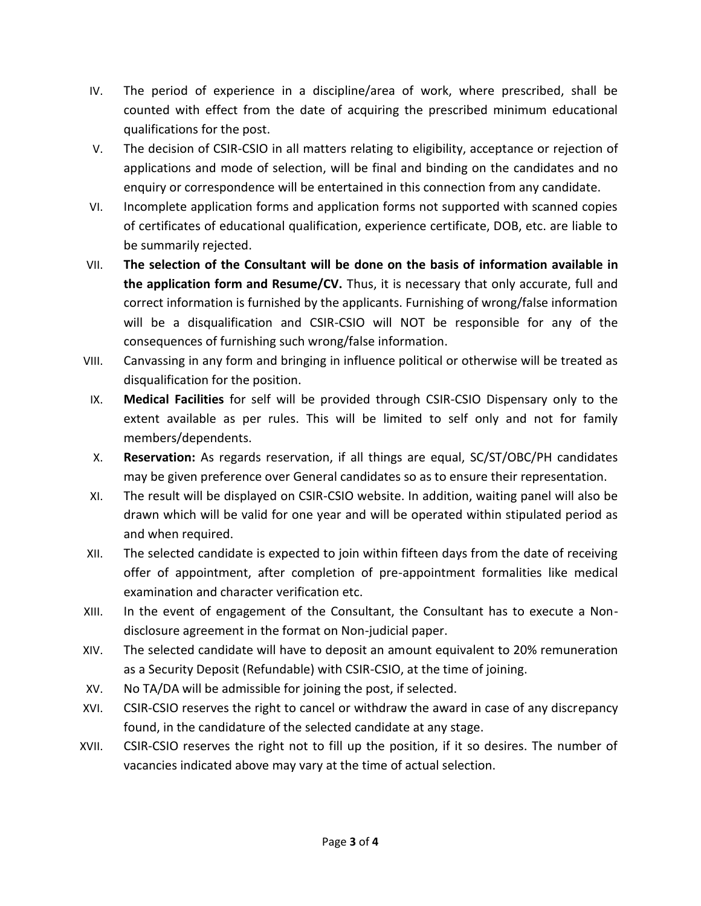- IV. The period of experience in a discipline/area of work, where prescribed, shall be counted with effect from the date of acquiring the prescribed minimum educational qualifications for the post.
- V. The decision of CSIR-CSIO in all matters relating to eligibility, acceptance or rejection of applications and mode of selection, will be final and binding on the candidates and no enquiry or correspondence will be entertained in this connection from any candidate.
- VI. Incomplete application forms and application forms not supported with scanned copies of certificates of educational qualification, experience certificate, DOB, etc. are liable to be summarily rejected.
- VII. **The selection of the Consultant will be done on the basis of information available in the application form and Resume/CV.** Thus, it is necessary that only accurate, full and correct information is furnished by the applicants. Furnishing of wrong/false information will be a disqualification and CSIR-CSIO will NOT be responsible for any of the consequences of furnishing such wrong/false information.
- VIII. Canvassing in any form and bringing in influence political or otherwise will be treated as disqualification for the position.
- IX. **Medical Facilities** for self will be provided through CSIR-CSIO Dispensary only to the extent available as per rules. This will be limited to self only and not for family members/dependents.
- X. **Reservation:** As regards reservation, if all things are equal, SC/ST/OBC/PH candidates may be given preference over General candidates so as to ensure their representation.
- XI. The result will be displayed on CSIR-CSIO website. In addition, waiting panel will also be drawn which will be valid for one year and will be operated within stipulated period as and when required.
- XII. The selected candidate is expected to join within fifteen days from the date of receiving offer of appointment, after completion of pre-appointment formalities like medical examination and character verification etc.
- XIII. In the event of engagement of the Consultant, the Consultant has to execute a Nondisclosure agreement in the format on Non-judicial paper.
- XIV. The selected candidate will have to deposit an amount equivalent to 20% remuneration as a Security Deposit (Refundable) with CSIR-CSIO, at the time of joining.
- XV. No TA/DA will be admissible for joining the post, if selected.
- XVI. CSIR-CSIO reserves the right to cancel or withdraw the award in case of any discrepancy found, in the candidature of the selected candidate at any stage.
- XVII. CSIR-CSIO reserves the right not to fill up the position, if it so desires. The number of vacancies indicated above may vary at the time of actual selection.